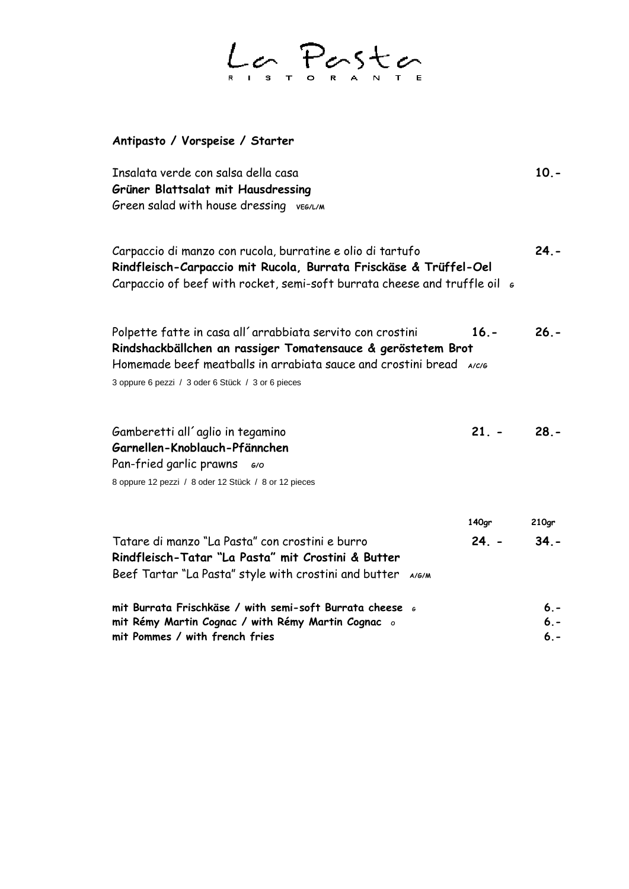La Pasta

## **Antipasto / Vorspeise / Starter**

| Insalata verde con salsa della casa     | $10 -$ |
|-----------------------------------------|--------|
| Grüner Blattsalat mit Hausdressing      |        |
| Green salad with house dressing vEG/L/M |        |

Carpaccio di manzo con rucola, burratine e olio di tartufo **24.- Rindfleisch-Carpaccio mit Rucola, Burrata Frisckäse & Trüffel-Oel** Carpaccio of beef with rocket, semi-soft burrata cheese and truffle oil  $\epsilon$ 

Polpette fatte in casa all´arrabbiata servito con crostini **16.- 26.- Rindshackbällchen an rassiger Tomatensauce & geröstetem Brot**  Homemade beef meatballs in arrabiata sauce and crostini bread AICIG 3 oppure 6 pezzi / 3 oder 6 Stück / 3 or 6 pieces

| Gamberetti all'aglio in tegamino | $21. - 28. -$ |  |
|----------------------------------|---------------|--|
| Garnellen-Knoblauch-Pfännchen    |               |  |
| Pan-fried garlic prawns 6/0      |               |  |

8 oppure 12 pezzi / 8 oder 12 Stück / 8 or 12 pieces

|                                                             | 140ar   | 210ar   |
|-------------------------------------------------------------|---------|---------|
| Tatare di manzo "La Pasta" con crostini e burro             | $24. -$ | $34. -$ |
| Rindfleisch-Tatar "La Pasta" mit Crostini & Butter          |         |         |
| Beef Tartar "La Pasta" style with crostini and butter A/G/M |         |         |
| mit Burrata Frischkäse / with semi-soft Burrata cheese 6    |         | $6 -$   |
| mit Rémy Martin Cognac / with Rémy Martin Cognac o          |         | $6 -$   |
| mit Pommes / with french fries                              |         | $6 -$   |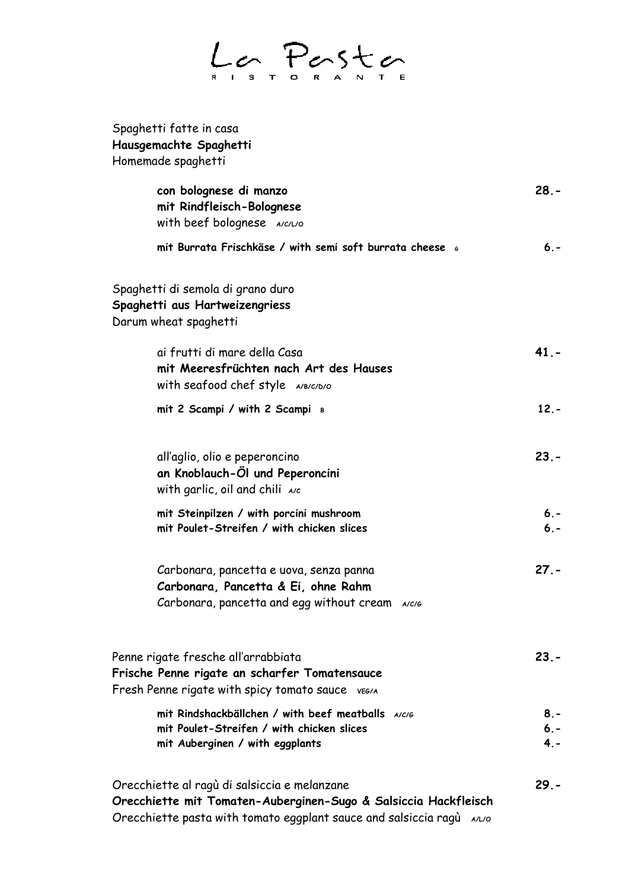La Pasta

Spaghetti fatte in casa **Hausgemachte Spaghetti**  Homemade spaghetti **con bolognese di manzo 28. mit Rindfleisch-Bolognese** with beef bolognese **A/C/L/O mit Burrata Frischkäse / with semi soft burrata cheese <sup>G</sup> 6.-** Spaghetti di semola di grano duro **Spaghetti aus Hartweizengriess** Darum wheat spaghetti ai frutti di mare della Casa **41. mit Meeresfrüchten nach Art des Hauses**  with seafood chef style **A/B/C/D/O mit 2 Scampi / with 2 Scampi B B 12.**all'aglio, olio e peperoncino **23. an Knoblauch-Öl und Peperoncini** with garlic, oil and chili **A/C mit Steinpilzen / with porcini mushroom 6. mit Poulet-Streifen / with chicken slices 6.-** Carbonara, pancetta e uova, senza panna **27.- Carbonara, Pancetta & Ei, ohne Rahm** Carbonara, pancetta and egg without cream A/C/G Penne rigate fresche all'arrabbiata **23.- Frische Penne rigate an scharfer Tomatensauce** Fresh Penne rigate with spicy tomato sauce vEG/A **mit Rindshackbällchen / with beef meatballs A/C/G 8. mit Poulet-Streifen / with chicken slices 6. mit Auberginen / with eggplants 4.-** Orecchiette al ragù di salsiccia e melanzane **29.-**

**Orecchiette mit Tomaten-Auberginen-Sugo & Salsiccia Hackfleisch** Orecchiette pasta with tomato eggplant sauce and salsiccia ragù **A/L/O**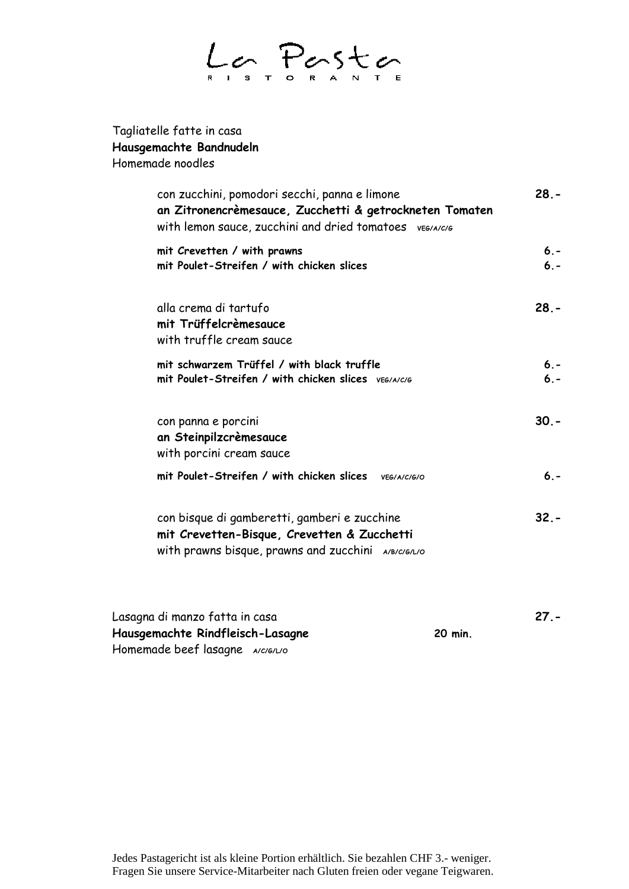$L_{\sigma}$  Peste

Tagliatelle fatte in casa **Hausgemachte Bandnudeln**  Homemade noodles

| con zucchini, pomodori secchi, panna e limone<br>an Zitronencrèmesauce, Zucchetti & getrockneten Tomaten<br>with lemon sauce, zucchini and dried tomatoes vEG/A/C/G | $28. -$          |
|---------------------------------------------------------------------------------------------------------------------------------------------------------------------|------------------|
| mit Crevetten / with prawns<br>mit Poulet-Streifen / with chicken slices                                                                                            | $6. -$<br>$6. -$ |
| alla crema di tartufo<br>mit Trüffelcrèmesauce<br>with truffle cream sauce                                                                                          | $28. -$          |
| mit schwarzem Trüffel / with black truffle<br>mit Poulet-Streifen / with chicken slices vEG/A/C/G                                                                   | $6. -$<br>$6. -$ |
| con panna e porcini<br>an Steinpilzcrèmesauce<br>with porcini cream sauce                                                                                           | $30. -$          |
| mit Poulet-Streifen / with chicken slices<br><b>VEG/A/C/G/O</b>                                                                                                     | $6. -$           |
| con bisque di gamberetti, gamberi e zucchine<br>mit Crevetten-Bisque, Crevetten & Zucchetti<br>with prawns bisque, prawns and zucchini A/B/c/G/L/o                  | $32 -$           |

| Lasagna di manzo fatta in casa   |  |         | $27 -$ |
|----------------------------------|--|---------|--------|
| Hausgemachte Rindfleisch-Lasagne |  | 20 min. |        |
| Homemade beef lasagne A/C/G/L/O  |  |         |        |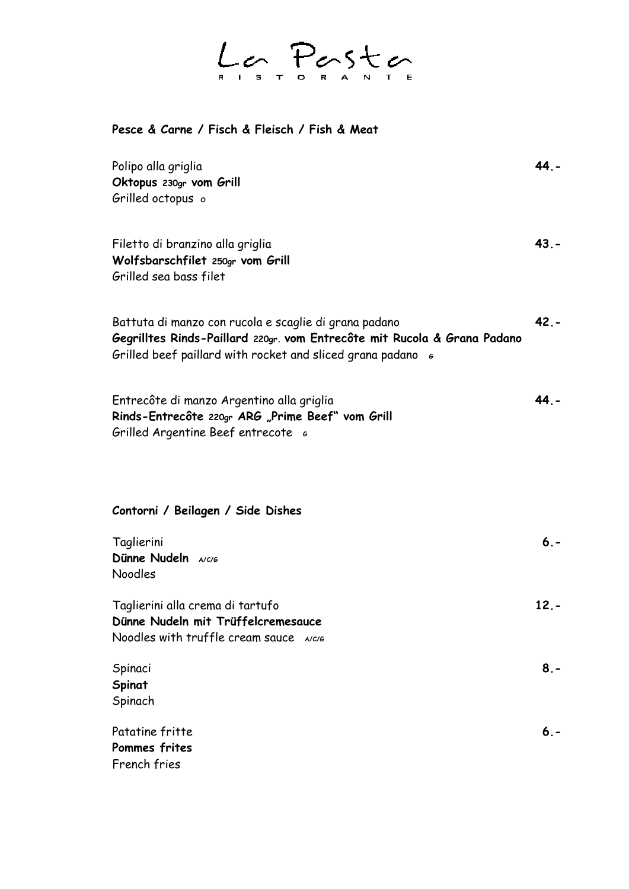$L_{c}$  Posto

## **Pesce & Carne / Fisch & Fleisch / Fish & Meat**

| Polipo alla griglia<br>Oktopus 230gr vom Grill<br>Grilled octopus o                                                                                                                              | $44. -$ |
|--------------------------------------------------------------------------------------------------------------------------------------------------------------------------------------------------|---------|
| Filetto di branzino alla griglia<br>Wolfsbarschfilet 250gr vom Grill<br>Grilled sea bass filet                                                                                                   | $43 -$  |
| Battuta di manzo con rucola e scaglie di grana padano<br>Gegrilltes Rinds-Paillard 220gr. vom Entrecôte mit Rucola & Grana Padano<br>Grilled beef paillard with rocket and sliced grana padano 6 | $42 -$  |
| Entrecôte di manzo Argentino alla griglia<br>Rinds-Entrecôte 220gr ARG "Prime Beef" vom Grill<br>Grilled Argentine Beef entrecote 6                                                              | $44 -$  |
| Contorni / Beilagen / Side Dishes                                                                                                                                                                |         |
| Taglierini<br>Dünne Nudeln A/C/G<br>Noodles                                                                                                                                                      | $6. -$  |
| Taglierini alla crema di tartufo<br>Dünne Nudeln mit Trüffelcremesauce<br>Noodles with truffle cream sauce A/C/G                                                                                 | $12. -$ |
| Spinaci<br>Spinat<br>Spinach                                                                                                                                                                     | $8 -$   |
| Patatine fritte<br>Pommes frites<br>French fries                                                                                                                                                 | $6. -$  |